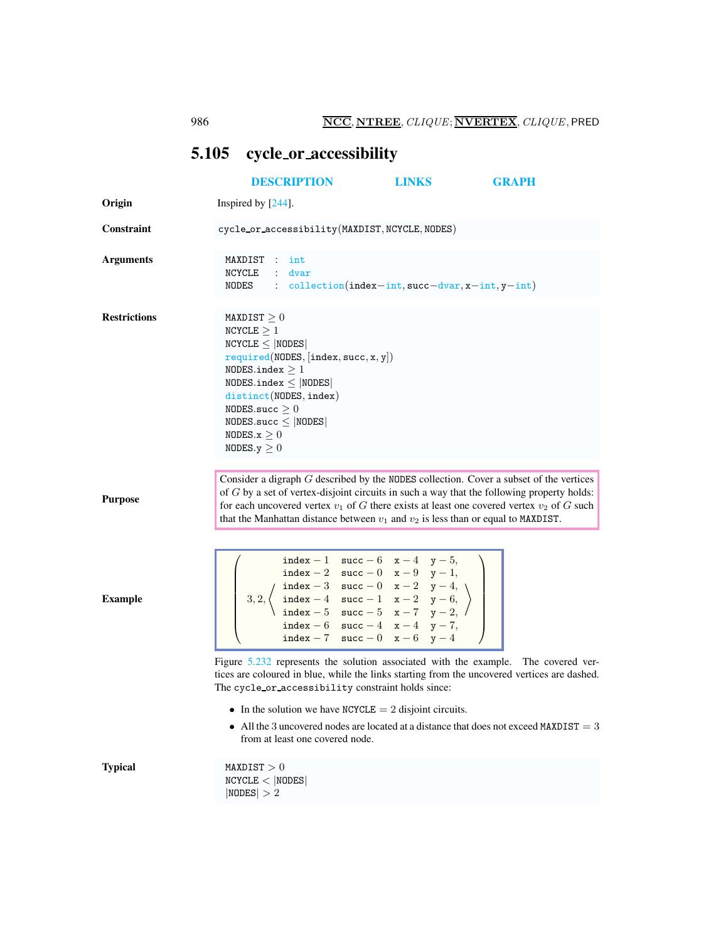## <span id="page-0-0"></span>5.105 cycle or accessibility

|                     | <b>DESCRIPTION</b>                                                                                                                                                                                                                                                                                                                                                                                            | <b>LINKS</b> | <b>GRAPH</b> |
|---------------------|---------------------------------------------------------------------------------------------------------------------------------------------------------------------------------------------------------------------------------------------------------------------------------------------------------------------------------------------------------------------------------------------------------------|--------------|--------------|
| Origin              | Inspired by $[244]$ .                                                                                                                                                                                                                                                                                                                                                                                         |              |              |
| <b>Constraint</b>   | cycle_or_accessibility(MAXDIST, NCYCLE, NODES)                                                                                                                                                                                                                                                                                                                                                                |              |              |
| <b>Arguments</b>    | MAXDIST : int<br>NCYCLE : dvar<br>NODES collection(index-int, succ-dvar, x-int, y-int)                                                                                                                                                                                                                                                                                                                        |              |              |
| <b>Restrictions</b> | MAXDIST $\geq 0$<br>NCYCLE $\geq 1$<br>$NCYCLE \leq  NODES $<br>required(NDDES, [index, succ, x, y])<br>NODES.index $\geq 1$<br>NODES.index $\leq$  NODES <br>distinct(NODES, index)<br>NODES.succ $\geq 0$<br>NODES.succ $\leq$ NODES<br>NODES. $x \geq 0$<br>NODES. $y \geq 0$                                                                                                                              |              |              |
| <b>Purpose</b>      | Consider a digraph G described by the NODES collection. Cover a subset of the vertices<br>of $G$ by a set of vertex-disjoint circuits in such a way that the following property holds:<br>for each uncovered vertex $v_1$ of G there exists at least one covered vertex $v_2$ of G such<br>that the Manhattan distance between $v_1$ and $v_2$ is less than or equal to MAXDIST.                              |              |              |
| <b>Example</b>      | index - 1 succ - 6 $x-4$ $y-5$ ,<br>index - 2 succ - 0 x - 9 y - 1,<br>3,2, $\left\{\n\begin{array}{l}\n\text{index } -2 \text{ succ } -0 \text{ x } -9 \text{ y } -1, \\ \text{index } -3 \text{ succ } -0 \text{ x } -2 \text{ y } -4, \\ \text{index } -5 \text{ succ } -5 \text{ x } -7 \text{ y } -2,\n\end{array}\n\right\}$<br>index - 6 succ - 4 $x-4$ $y-7$ ,<br>index -7 $succ - 0$ $x - 6$ $y - 4$ |              |              |
|                     | Figure 5.232 represents the solution associated with the example. The covered ver-<br>tices are coloured in blue, while the links starting from the uncovered vertices are dashed.<br>The cycle_or_accessibility constraint holds since:                                                                                                                                                                      |              |              |
|                     | • In the solution we have NCYCLE = 2 disjoint circuits.<br>• All the 3 uncovered nodes are located at a distance that does not exceed MAXDIST $=$ 3<br>from at least one covered node.                                                                                                                                                                                                                        |              |              |
| <b>Typical</b>      | MAXDIST > 0<br>NCYCLE <  NODES <br> NODES  > 2                                                                                                                                                                                                                                                                                                                                                                |              |              |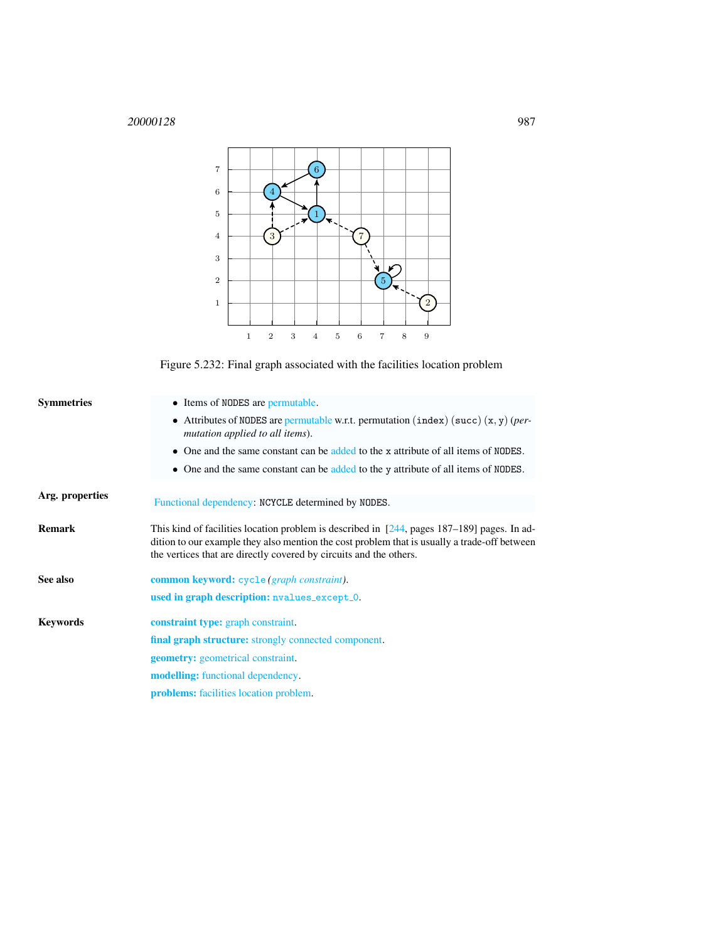

<span id="page-1-1"></span>Figure 5.232: Final graph associated with the facilities location problem

<span id="page-1-0"></span>

| <b>Symmetries</b> | • Items of NODES are permutable.                                                                                                                                                                                                                                    |  |  |  |
|-------------------|---------------------------------------------------------------------------------------------------------------------------------------------------------------------------------------------------------------------------------------------------------------------|--|--|--|
|                   | • Attributes of NODES are permutable w.r.t. permutation (index) (succ) $(x, y)$ (per-<br>mutation applied to all items).                                                                                                                                            |  |  |  |
|                   | • One and the same constant can be added to the x attribute of all items of NODES.                                                                                                                                                                                  |  |  |  |
|                   | • One and the same constant can be added to the y attribute of all items of NODES.                                                                                                                                                                                  |  |  |  |
| Arg. properties   |                                                                                                                                                                                                                                                                     |  |  |  |
|                   | Functional dependency: NCYCLE determined by NODES.                                                                                                                                                                                                                  |  |  |  |
| <b>Remark</b>     | This kind of facilities location problem is described in $[244,$ pages 187–189] pages. In ad-<br>dition to our example they also mention the cost problem that is usually a trade-off between<br>the vertices that are directly covered by circuits and the others. |  |  |  |
| See also          | common keyword: cycle (graph constraint).                                                                                                                                                                                                                           |  |  |  |
|                   | used in graph description: nvalues_except_0.                                                                                                                                                                                                                        |  |  |  |
| Kevwords          | <b>constraint type:</b> graph constraint.                                                                                                                                                                                                                           |  |  |  |
|                   | <b>final graph structure:</b> strongly connected component.                                                                                                                                                                                                         |  |  |  |
|                   | <b>geometry:</b> geometrical constraint.                                                                                                                                                                                                                            |  |  |  |
|                   | <b>modelling:</b> functional dependency.                                                                                                                                                                                                                            |  |  |  |
|                   | <b>problems:</b> facilities location problem.                                                                                                                                                                                                                       |  |  |  |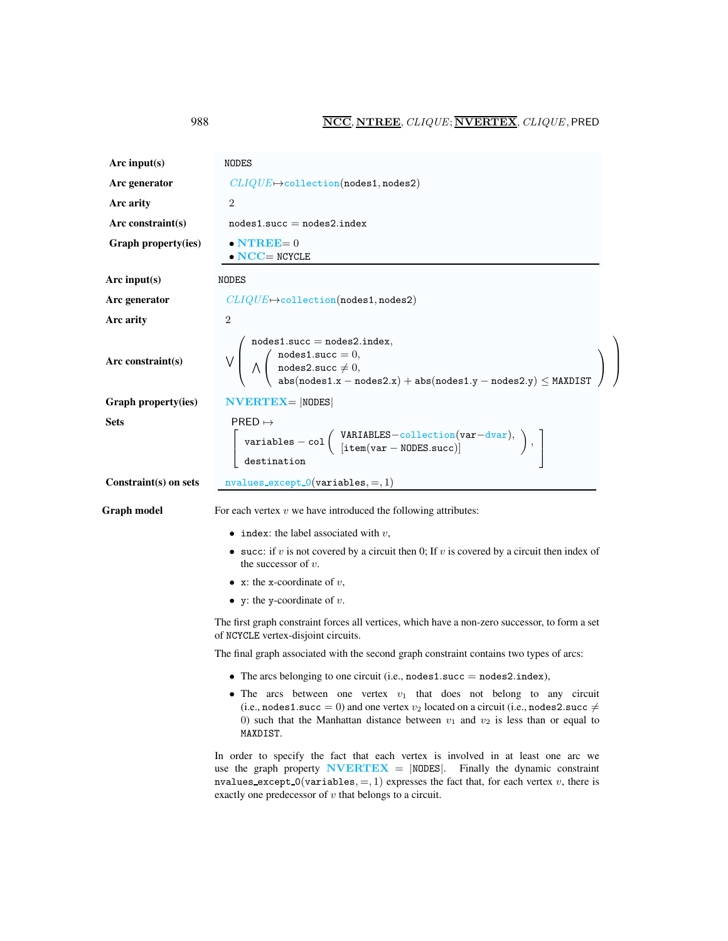<span id="page-2-0"></span>

| Arc input $(s)$       | NODES                                                                                                                                                                                                                                                                                 |  |  |
|-----------------------|---------------------------------------------------------------------------------------------------------------------------------------------------------------------------------------------------------------------------------------------------------------------------------------|--|--|
| Arc generator         | $CLIQUE \rightarrow collection(nodes1, nodes2)$                                                                                                                                                                                                                                       |  |  |
| Arc arity             | $\overline{2}$                                                                                                                                                                                                                                                                        |  |  |
| Arc constraint(s)     | $nodes1.succ = nodes2.index$                                                                                                                                                                                                                                                          |  |  |
| Graph property(ies)   | $\bullet$ NTREE= 0<br>$\bullet$ NCC= NCYCLE                                                                                                                                                                                                                                           |  |  |
| Arc input $(s)$       | NODES                                                                                                                                                                                                                                                                                 |  |  |
| Arc generator         | $CLIQUE \rightarrow collection(nodes1, nodes2)$                                                                                                                                                                                                                                       |  |  |
| Arc arity             | $\overline{2}$                                                                                                                                                                                                                                                                        |  |  |
| Arc constraint(s)     | $nodes1.succ = nodes2.index,$<br>$V \left( \begin{array}{c} \text{nodes1.succ} = 0, \\ \text{nodes2.succ} \neq 0, \\ \text{abs}(\text{nodes1.x} - \text{nodes2.x}) + \text{abs}(\text{nodes1.y} - \text{nodes2.y}) \leq \text{MAXDISTST} \end{array} \right)$                         |  |  |
| Graph property(ies)   | $NVERTEX =  NODES $                                                                                                                                                                                                                                                                   |  |  |
| <b>Sets</b>           | $PRED \mapsto$<br>$\left[ \begin{array}{c} \texttt{variables} - \texttt{col} \left( \begin{array}{c} \texttt{VARIABLES} - \texttt{collection}(\texttt{var} - \texttt{dvar}), \\ \texttt{item}(\texttt{var} - \texttt{NODES}.\texttt{succ}) \end{array} \right), \end{array} \right),$ |  |  |
| Constraint(s) on sets | $nvalues\_except\_0(variables, =, 1)$                                                                                                                                                                                                                                                 |  |  |
| <b>Graph model</b>    | For each vertex $v$ we have introduced the following attributes:                                                                                                                                                                                                                      |  |  |
|                       | • index: the label associated with $v$ ,                                                                                                                                                                                                                                              |  |  |
|                       | • succ: if v is not covered by a circuit then 0; If v is covered by a circuit then index of<br>the successor of $v$ .                                                                                                                                                                 |  |  |
|                       | • x: the x-coordinate of $v$ ,                                                                                                                                                                                                                                                        |  |  |
|                       | • y: the y-coordinate of $v$ .                                                                                                                                                                                                                                                        |  |  |
|                       | The first graph constraint forces all vertices, which have a non-zero successor, to form a set<br>of NCYCLE vertex-disjoint circuits.                                                                                                                                                 |  |  |
|                       | The final graph associated with the second graph constraint contains two types of arcs:                                                                                                                                                                                               |  |  |
|                       | • The arcs belonging to one circuit (i.e., nodes 1.succ $=$ nodes 2.index),                                                                                                                                                                                                           |  |  |
|                       | • The arcs between one vertex $v_1$ that does not belong to any circuit<br>(i.e., nodes1.succ = 0) and one vertex $v_2$ located on a circuit (i.e., nodes2.succ $\neq$<br>0) such that the Manhattan distance between $v_1$ and $v_2$ is less than or equal to<br>MAXDIST.            |  |  |
|                       | In order to specify the fact that each vertex is involved in at least one arc we<br>use the graph property <b>NVERTEX</b> = $ NODES $ . Finally the dynamic constraint<br>nvalues_except_0(variables, =, 1) expresses the fact that, for each vertex v, there is                      |  |  |

exactly one predecessor of  $\boldsymbol{v}$  that belongs to a circuit.